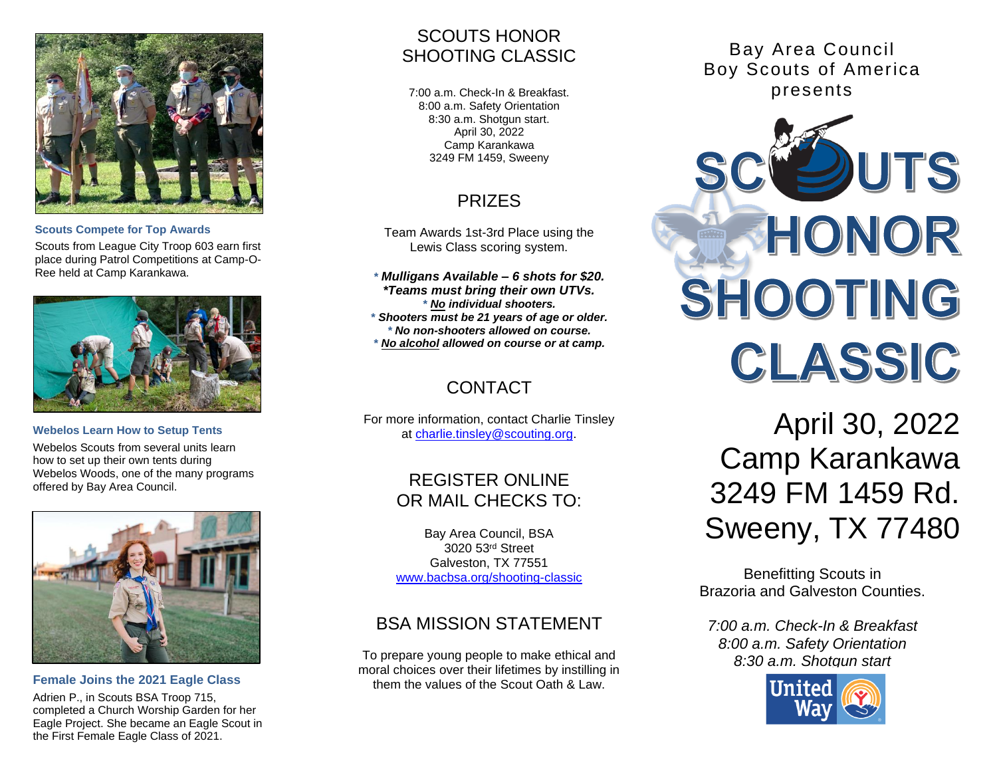

#### **Scouts Compete for Top Awards**

Scouts from League City Troop 603 earn first place during Patrol Competitions at Camp-O-Ree held at Camp Karankawa.



**Webelos Learn How to Setup Tents** Webelos Scouts from several units learn how to set up their own tents during Webelos Woods, one of the many programs offered by Bay Area Council.



**Female Joins the 2021 Eagle Class** Adrien P., in Scouts BSA Troop 715, completed a Church Worship Garden for her Eagle Project. She became an Eagle Scout in the First Female Eagle Class of 2021.

## SCOUTS HONOR SHOOTING CLASSIC

7:00 a.m. Check-In & Breakfast. 8:00 a.m. Safety Orientation 8:30 a.m. Shotgun start. April 30, 2022 Camp Karankawa 3249 FM 1459, Sweeny

# PRIZES

Team Awards 1st-3rd Place using the Lewis Class scoring system.

*\* Mulligans Available – 6 shots for \$20. \*Teams must bring their own UTVs. \* No individual shooters. \* Shooters must be 21 years of age or older. \* No non-shooters allowed on course. \* No alcohol allowed on course or at camp.*

# CONTACT

For more information, contact Charlie Tinsley at [charlie.tinsley@scouting.org.](mailto:charlie.tinsley@scouting.org)

# REGISTER ONLINE OR MAIL CHECKS TO:

Bay Area Council, BSA 3020 53rd Street Galveston, TX 77551 [www.bacbsa.org/shooting-classic](http://www.bacbsa.org/shooting-classic)

# BSA MISSION STATEMENT

To prepare young people to make ethical and moral choices over their lifetimes by instilling in them the values of the Scout Oath & Law.

Bay Area Council Boy Scouts of America presents



April 30, 2022 Camp Karankawa 3249 FM 1459 Rd. Sweeny, TX 77480

Benefitting Scouts in Brazoria and Galveston Counties.

*7:00 a.m. Check-In & Breakfast 8:00 a.m. Safety Orientation 8:30 a.m. Shotgun start*